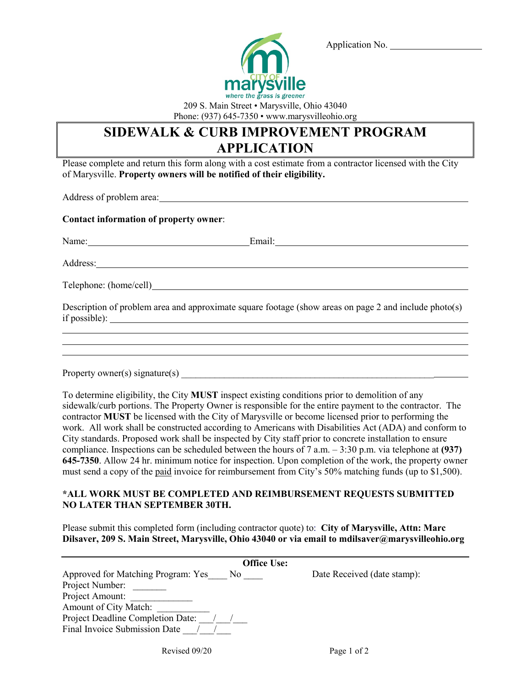

Application No.

209 S. Main Street • Marysville, Ohio 43040 Phone: (937) 645-7350 • www.marysvilleohio.org

## **SIDEWALK & CURB IMPROVEMENT PROGRAM APPLICATION**

Please complete and return this form along with a cost estimate from a contractor licensed with the City of Marysville. **Property owners will be notified of their eligibility.**

Address of problem area:

### **Contact information of property owner**:

 $\overline{a}$ 

 $\overline{a}$ 

Name: Email: Email: Email: Email: Email: Email: Email: Email: Email: Email: Email: Email: Email: Email: Email: Email: Email: Email: Email: Email: Email: Email: Email: Email: Email: Email: Email: Email: Email: Email: Email:

Address:

Telephone: (home/cell)

Description of problem area and approximate square footage (show areas on page 2 and include photo(s) if possible):

Property owner(s) signature(s)

To determine eligibility, the City **MUST** inspect existing conditions prior to demolition of any sidewalk/curb portions. The Property Owner is responsible for the entire payment to the contractor. The contractor **MUST** be licensed with the City of Marysville or become licensed prior to performing the work. All work shall be constructed according to Americans with Disabilities Act (ADA) and conform to City standards. Proposed work shall be inspected by City staff prior to concrete installation to ensure compliance. Inspections can be scheduled between the hours of 7 a.m. – 3:30 p.m. via telephone at **(937) 645-7350**. Allow 24 hr. minimum notice for inspection. Upon completion of the work, the property owner must send a copy of the paid invoice for reimbursement from City's 50% matching funds (up to \$1,500).

### **\*ALL WORK MUST BE COMPLETED AND REIMBURSEMENT REQUESTS SUBMITTED NO LATER THAN SEPTEMBER 30TH.**

Please submit this completed form (including contractor quote) to: **City of Marysville, Attn: Marc Dilsaver, 209 S. Main Street, Marysville, Ohio 43040 or via email to mdilsaver@marysvilleohio.org**

| <b>Office Use:</b>                        |                             |
|-------------------------------------------|-----------------------------|
| Approved for Matching Program: Yes<br>No. | Date Received (date stamp): |
| Project Number:                           |                             |
| Project Amount:                           |                             |
| Amount of City Match:                     |                             |
| Project Deadline Completion Date:         |                             |
| Final Invoice Submission Date             |                             |
|                                           |                             |

Revised 09/20 Page 1 of 2